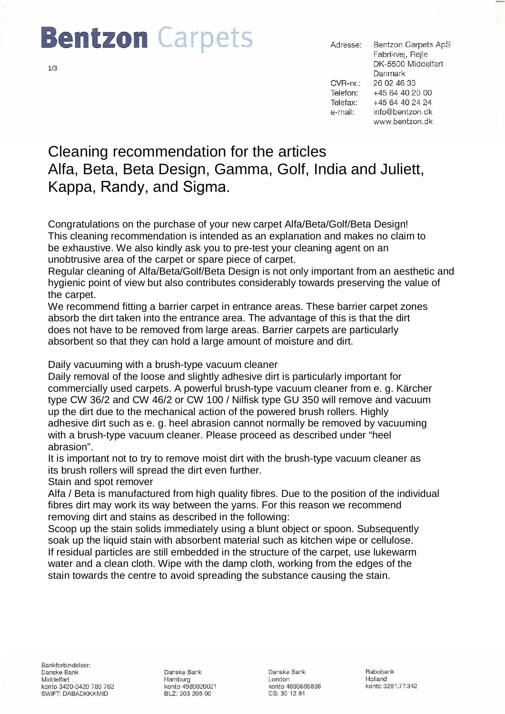# **Bentzon** Carpets

**Bentzon Carpets ApS** Adresse: Fabrikvej, Røjle DK-5500 Middelfart **Danmark**  $CVR-nr$ .: 26 02 46 33 Telefon: +45 64 40 20 00 Telefax: +45 64 40 24 24 info@bentzon.dk e-mail: www.bentzon.dk

## Cleaning recommendation for the articles Alfa, Beta, Beta Design, Gamma, Golf, India and Juliett, Kappa, Randy, and Sigma.

Congratulations on the purchase of your new carpet Alfa/Beta/Golf/Beta Design! This cleaning recommendation is intended as an explanation and makes no claim to be exhaustive. We also kindly ask you to pre-test your cleaning agent on an unobtrusive area of the carpet or spare piece of carpet.

Regular cleaning of Alfa/Beta/Golf/Beta Design is not only important from an aesthetic and hygienic point of view but also contributes considerably towards preserving the value of the carpet.

We recommend fitting a barrier carpet in entrance areas. These barrier carpet zones absorb the dirt taken into the entrance area. The advantage of this is that the dirt does not have to be removed from large areas. Barrier carpets are particularly absorbent so that they can hold a large amount of moisture and dirt.

Daily vacuuming with a brush-type vacuum cleaner

Daily removal of the loose and slightly adhesive dirt is particularly important for commercially used carpets. A powerful brush-type vacuum cleaner from e. g. Kärcher type CW 36/2 and CW 46/2 or CW 100 / Nilfisk type GU 350 will remove and vacuum up the dirt due to the mechanical action of the powered brush rollers. Highly adhesive dirt such as e. g. heel abrasion cannot normally be removed by vacuuming with a brush-type vacuum cleaner. Please proceed as described under "heel abrasion".

It is important not to try to remove moist dirt with the brush-type vacuum cleaner as its brush rollers will spread the dirt even further.

Stain and spot remover

Alfa / Beta is manufactured from high quality fibres. Due to the position of the individual fibres dirt may work its way between the yarns. For this reason we recommend removing dirt and stains as described in the following:

Scoop up the stain solids immediately using a blunt object or spoon. Subsequently soak up the liquid stain with absorbent material such as kitchen wipe or cellulose. If residual particles are still embedded in the structure of the carpet, use lukewarm water and a clean cloth. Wipe with the damp cloth, working from the edges of the stain towards the centre to avoid spreading the substance causing the stain.

Danske Bank Hamburg konto 4989020021 BLZ: 203 205 00

Danske Bank London konto 4893665838 CS: 30 12 81

Rabobank Holland konto 3281.77.342

1/3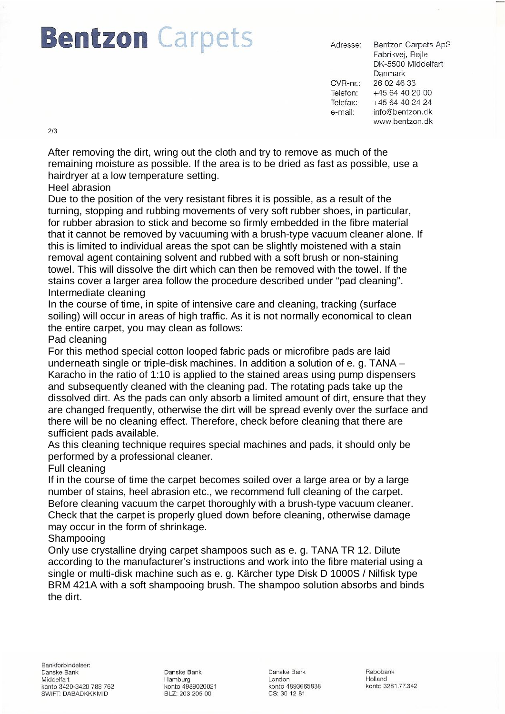# **Bentzon** Carpets

**Bentzon Carpets ApS** Adresse: Fabrikvej, Røjle DK-5500 Middelfart **Danmark**  $CVR-nr$ .: 26 02 46 33 Telefon: +45 64 40 20 00 Telefax: +45 64 40 24 24 info@bentzon.dk e-mail: www.bentzon.dk

2/3

After removing the dirt, wring out the cloth and try to remove as much of the remaining moisture as possible. If the area is to be dried as fast as possible, use a hairdryer at a low temperature setting.

#### Heel abrasion

Due to the position of the very resistant fibres it is possible, as a result of the turning, stopping and rubbing movements of very soft rubber shoes, in particular, for rubber abrasion to stick and become so firmly embedded in the fibre material that it cannot be removed by vacuuming with a brush-type vacuum cleaner alone. If this is limited to individual areas the spot can be slightly moistened with a stain removal agent containing solvent and rubbed with a soft brush or non-staining towel. This will dissolve the dirt which can then be removed with the towel. If the stains cover a larger area follow the procedure described under "pad cleaning". Intermediate cleaning

In the course of time, in spite of intensive care and cleaning, tracking (surface soiling) will occur in areas of high traffic. As it is not normally economical to clean the entire carpet, you may clean as follows:

### Pad cleaning

For this method special cotton looped fabric pads or microfibre pads are laid underneath single or triple-disk machines. In addition a solution of e. g. TANA – Karacho in the ratio of 1:10 is applied to the stained areas using pump dispensers and subsequently cleaned with the cleaning pad. The rotating pads take up the dissolved dirt. As the pads can only absorb a limited amount of dirt, ensure that they are changed frequently, otherwise the dirt will be spread evenly over the surface and there will be no cleaning effect. Therefore, check before cleaning that there are sufficient pads available.

As this cleaning technique requires special machines and pads, it should only be performed by a professional cleaner.

### Full cleaning

If in the course of time the carpet becomes soiled over a large area or by a large number of stains, heel abrasion etc., we recommend full cleaning of the carpet. Before cleaning vacuum the carpet thoroughly with a brush-type vacuum cleaner. Check that the carpet is properly glued down before cleaning, otherwise damage may occur in the form of shrinkage.

### Shampooing

Only use crystalline drying carpet shampoos such as e. g. TANA TR 12. Dilute according to the manufacturer's instructions and work into the fibre material using a single or multi-disk machine such as e. g. Kärcher type Disk D 1000S / Nilfisk type BRM 421A with a soft shampooing brush. The shampoo solution absorbs and binds the dirt.

Danske Bank Hamburg konto 4989020021 BLZ: 203 205 00

Danske Bank London konto 4893665838 CS: 30 12 81

Rabobank Holland konto 3281.77.342